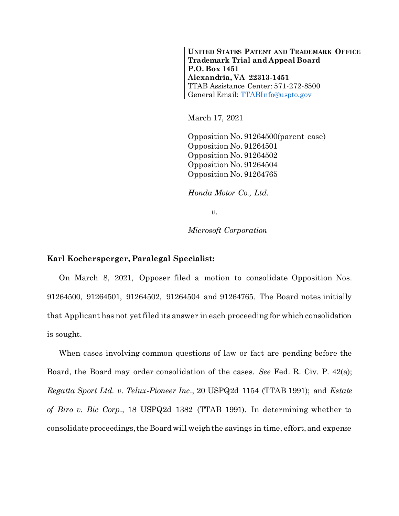**UNITED STATES PATENT AND TRADEMARK OFFICE Trademark Trial and Appeal Board P.O. Box 1451 Alexandria, VA 22313-1451** TTAB Assistance Center: 571-272-8500 General Email: [TTABInfo@uspto.gov](mailto:TTABInfo@uspto.gov)

March 17, 2021

Opposition No. 91264500(parent case) Opposition No. 91264501 Opposition No. 91264502 Opposition No. 91264504 Opposition No. 91264765

*Honda Motor Co., Ltd.*

*v.*

*Microsoft Corporation*

## **Karl Kochersperger, Paralegal Specialist:**

On March 8, 2021, Opposer filed a motion to consolidate Opposition Nos. 91264500, 91264501, 91264502, 91264504 and 91264765. The Board notes initially that Applicant has not yet filed its answer in each proceeding for which consolidation is sought.

When cases involving common questions of law or fact are pending before the Board, the Board may order consolidation of the cases. *See* Fed. R. Civ. P. 42(a); *Regatta Sport Ltd. v. Telux-Pioneer Inc*., 20 USPQ2d 1154 (TTAB 1991); and *Estate of Biro v. Bic Corp*., 18 USPQ2d 1382 (TTAB 1991). In determining whether to consolidate proceedings, the Board will weigh the savings in time, effort, and expense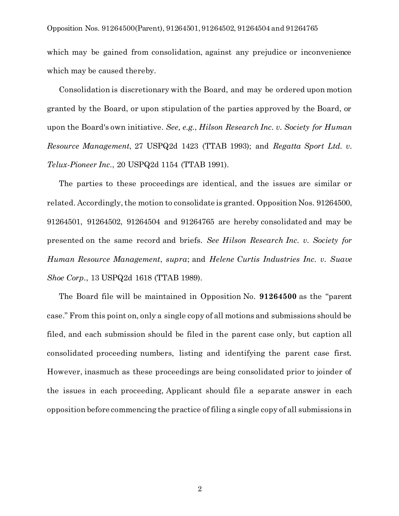which may be gained from consolidation, against any prejudice or inconvenience which may be caused thereby.

Consolidation is discretionary with the Board, and may be ordered upon motion granted by the Board, or upon stipulation of the parties approved by the Board, or upon the Board's own initiative. *See, e.g.*, *Hilson Research Inc. v. Society for Human Resource Management*, 27 USPQ2d 1423 (TTAB 1993); and *Regatta Sport Ltd. v. Telux-Pioneer Inc.*, 20 USPQ2d 1154 (TTAB 1991).

The parties to these proceedings are identical, and the issues are similar or related. Accordingly, the motion to consolidate is granted. Opposition Nos. 91264500, 91264501, 91264502, 91264504 and 91264765 are hereby consolidated and may be presented on the same record and briefs. *See Hilson Research Inc. v. Society for Human Resource Management*, *supra*; and *Helene Curtis Industries Inc. v. Suave Shoe Corp.*, 13 USPQ2d 1618 (TTAB 1989).

The Board file will be maintained in Opposition No. **91264500** as the "parent case." From this point on, only a single copy of all motions and submissions should be filed, and each submission should be filed in the parent case only, but caption all consolidated proceeding numbers, listing and identifying the parent case first. However, inasmuch as these proceedings are being consolidated prior to joinder of the issues in each proceeding, Applicant should file a separate answer in each opposition before commencing the practice of filing a single copy of all submissions in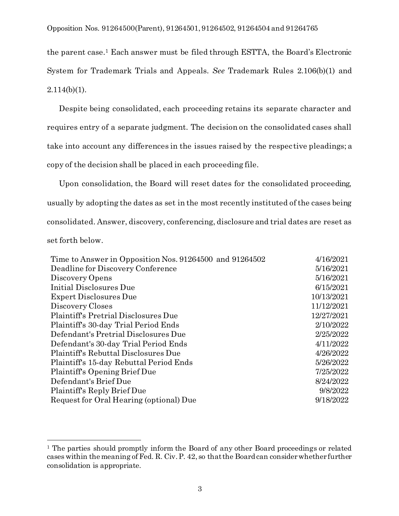the parent case.<sup>1</sup> Each answer must be filed through ESTTA, the Board's Electronic System for Trademark Trials and Appeals. *See* Trademark Rules 2.106(b)(1) and  $2.114(b)(1)$ .

Despite being consolidated, each proceeding retains its separate character and requires entry of a separate judgment. The decision on the consolidated cases shall take into account any differences in the issues raised by the respective pleadings; a copy of the decision shall be placed in each proceeding file.

Upon consolidation, the Board will reset dates for the consolidated proceeding, usually by adopting the dates as set in the most recently instituted of the cases being consolidated. Answer, discovery, conferencing, disclosure and trial dates are reset as set forth below.

| Time to Answer in Opposition Nos. 91264500 and 91264502 | 4/16/2021  |
|---------------------------------------------------------|------------|
| Deadline for Discovery Conference                       | 5/16/2021  |
| Discovery Opens                                         | 5/16/2021  |
| Initial Disclosures Due                                 | 6/15/2021  |
| <b>Expert Disclosures Due</b>                           | 10/13/2021 |
| Discovery Closes                                        | 11/12/2021 |
| Plaintiff's Pretrial Disclosures Due                    | 12/27/2021 |
| Plaintiff's 30-day Trial Period Ends                    | 2/10/2022  |
| Defendant's Pretrial Disclosures Due                    | 2/25/2022  |
| Defendant's 30-day Trial Period Ends                    | 4/11/2022  |
| Plaintiff's Rebuttal Disclosures Due                    | 4/26/2022  |
| Plaintiff's 15-day Rebuttal Period Ends                 | 5/26/2022  |
| Plaintiff's Opening Brief Due                           | 7/25/2022  |
| Defendant's Brief Due                                   | 8/24/2022  |
| Plaintiff's Reply Brief Due                             | 9/8/2022   |
| Request for Oral Hearing (optional) Due                 | 9/18/2022  |
|                                                         |            |

l

<sup>&</sup>lt;sup>1</sup> The parties should promptly inform the Board of any other Board proceedings or related cases within the meaning of Fed. R. Civ. P. 42, so that the Board can consider whether further consolidation is appropriate.